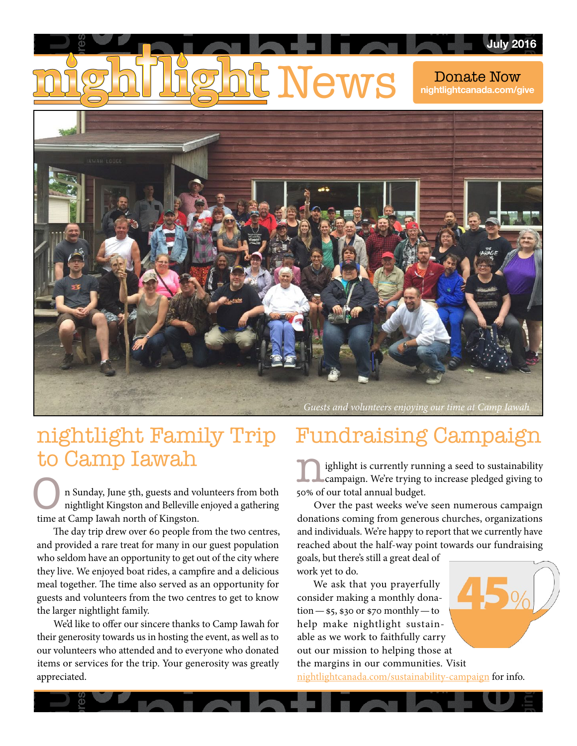# News



**July 2016**



### nightlight Family Trip to Camp Iawah

n Sunday, June 5th, guests and volunteers from both nightlight Kingston and Belleville enjoyed a gathering time at Camp Iawah north of Kingston.

The day trip drew over 60 people from the two centres, and provided a rare treat for many in our guest population who seldom have an opportunity to get out of the city where they live. We enjoyed boat rides, a campfire and a delicious meal together. The time also served as an opportunity for guests and volunteers from the two centres to get to know the larger nightlight family.

We'd like to offer our sincere thanks to Camp Iawah for their generosity towards us in hosting the event, as well as to our volunteers who attended and to everyone who donated items or services for the trip. Your generosity was greatly appreciated.

## Fundraising Campaign

ighlight is currently running a seed to sustainability<br>campaign. We're trying to increase pledged giving to<br>50% of our total annual budget campaign. We're trying to increase pledged giving to 50% of our total annual budget.

Over the past weeks we've seen numerous campaign donations coming from generous churches, organizations and individuals. We're happy to report that we currently have reached about the half-way point towards our fundraising goals, but there's still a great deal of

work yet to do.

We ask that you prayerfully consider making a monthly dona- $\text{tion}$ — $\text{\$5, $30$ or $50$ monthly}$ —to help make nightlight sustainable as we work to faithfully carry out our mission to helping those at the margins in our communities. Visit

[nightlightcanada.com/sustainability-campaign](http://nightlightcanada.com/sustainability-campaign) for info.